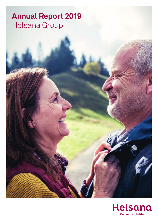# **Annual Report 2019** Helsana Group

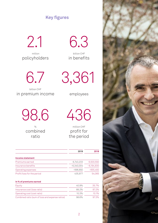### **Key figures**

2.1

 million policyholders

6.7

billion CHF in premium income

> 98.6 % combined

> > ratio

3,361

billion CHF in benefits

6.3

employees

436

million CHF profit for the period

|                            | 2019         | 2018         |
|----------------------------|--------------|--------------|
| Income statement           |              |              |
| Premiums earned            | 6,743,233    | 6,500,592    |
| Insurance benefits         | $-6.340.004$ | $-6,194,830$ |
| Operating expenses         | $-696,692$   | $-655,482$   |
| Profit/loss for the period | 435,977      | 54,065       |
| In % of premiums earned    |              |              |
|                            | .            |              |

| Equity                                          | 40.9%    | 35.7% |
|-------------------------------------------------|----------|-------|
| Insurance cost (loss ratio)                     | 88.2%    | 87.2% |
| Operating cost (cost ratio)                     | $10.3\%$ | 10.1% |
| Combined ratio (sum of loss and expense ratios) | 98.6%    | 97.3% |

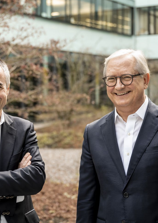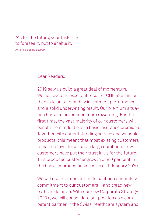### "As for the future, your task is not to foresee it, but to enable it."

Antoine de Saint-Exupéry

Dear Readers,

2019 saw us build a great deal of momentum. We achieved an excellent result of CHF 436 million thanks to an outstanding investment performance and a solid underwriting result. Our premium situation has also never been more rewarding. For the first time, the vast majority of our customers will benefit from reductions in basic insurance premiums. Together with our outstanding service and valuable products, this meant that most existing customers remained loyal to us, and a large number of new customers have put their trust in us for the future. This produced customer growth of 8.0 per cent in the basic insurance business as at 1 January 2020.

We will use this momentum to continue our tireless commitment to our customers – and tread new paths in doing so. With our new Corporate Strategy 2020+, we will consolidate our position as a competent partner in the Swiss healthcare system and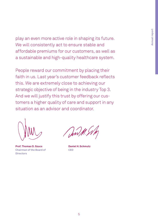play an even more active role in shaping its future. We will consistently act to ensure stable and affordable premiums for our customers, as well as a sustainable and high-quality healthcare system.

People reward our commitment by placing their faith in us. Last year's customer feedback reflects this. We are extremely close to achieving our strategic objective of being in the industry Top 3. And we will justify this trust by offering our customers a higher quality of care and support in any situation as an advisor and coordinator.

**Prof. Thomas D. Szucs Chairman of the Board of Directors**

**Daniel H.Schmutz CEO**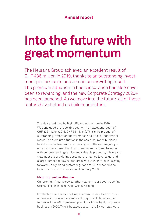### **Annual report**

# **Into the future with great momentum**

The Helsana Group achieved an excellent result of CHF 436 million in 2019, thanks to an outstanding investment performance and a solid underwriting result. The premium situation in basic insurance has also never been so rewarding, and the new Corporate Strategy 2020+ has been launched. As we move into the future, all of these factors have helped us build momentum.

> The Helsana Group built significant momentum in 2019. We concluded the reporting year with an excellent result of CHF 436 million (2018: CHF 54 million). This is the product of outstanding investment performance and a solid underwriting result. The premium situation in the basic insurance business has also never been more rewarding, with the vast majority of our customers benefiting from premium reductions. Together with our outstanding service and valuable products, this meant that most of our existing customers remained loyal to us, and a large number of new customers have put their trust in us going forward. This yielded customer growth of 8.0 per cent in the basic insurance business as at 1 January 2020.

#### **Historic premium situation**

Our premium income saw another year-on-year boost, reaching CHF 6.7 billion in 2019 (2018: CHF 6.5 billion).

For the first time since the Swiss Federal Law on Health Insurance was introduced, a significant majority of Helsana customers will benefit from lower premiums in the basic insurance business in 2020. This is because costs in the Swiss healthcare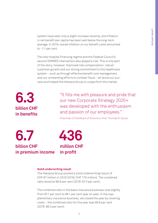system have seen only a slight increase recently, and inflation in net benefit per capita has been well below the long-term average. In 2019, overall inflation on our benefit costs amounted to –1.1 per cent.

The new hospital financing regime and the Federal Council's second TARMED intervention also played a role. This is only part of the story, however. Improved risk compensation, robust customer growth and our strong commitment to the healthcare system – such as through effective benefit cost management, and our unrelenting efforts to combat fraud – all drove our success and helped the Helsana Group to outperform the market.

**6.3 billion CHF in benefits**

"It fills me with pleasure and pride that our new Corporate Strategy 2020+ was developed with the enthusiasm and passion of our employees."

Chairman of the Board of Directors, Prof. Thomas D. Szucs

**6.7 436 billion CHF in premium income**

**million CHF in profit**

#### **Solid underwriting result**

The Helsana Group posted a solid underwriting result of CHF 97 million in 2019 (2018: CHF 175 million). The combined ratio stood at 98.6 per cent (2018: 97.3 per cent).

The combined ratio in the basic insurance business rose slightly from 97.1 per cent to 98.1 per cent year on year. In the supplementary insurance business, we closed the year by covering costs – the combined ratio for the year was 99.8 per cent (2018: 98.3 per cent).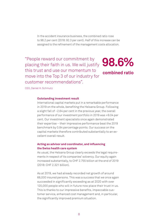In the accident insurance business, the combined ratio rose to 98.2 per cent (2018: 92.3 per cent). Half of this increase can be assigned to the refinement of the management costs allocation.

"People reward our commitment by placing their faith in us. We will justify **98.6%** this trust and use our momentum to move into the Top 3 of our industry for customer recommendations".

**combined ratio**

CEO, Daniel H. Schmutz

#### **Outstanding investment result**

International capital markets put in a remarkable performance in 2019 on the whole, benefiting the Helsana Group. Following a slight fall of –2.64 per cent in the previous year, the overall performance of our investment portfolio in 2019 was +9.04 per cent. Our investment specialists once again demonstrated their expertise – their impressive performance beat the 2019 benchmark by 0.84 percentage points. Our success on the capital markets therefore contributed substantially to an excellent overall result.

#### **Acting as advisor and coordinator, and influencing the Swiss health care system**

As usual, the Helsana Group clearly exceeds the legal requirements in respect of its companies' solvency. Our equity again increased substantially, to CHF 2.755 billion at the end of 2019 (2018: CHF 2.321 billion).

As at 2019, we had already recorded net growth of around 66,000 insured persons. This was a success that we once again succeeded in significantly exceeding as at 2020 with over 120,000 people who will in future now place their trust in us. This is thanks to our impressive benefits, impeccable customer service, enhanced cost management and, in particular, the significantly improved premium situation.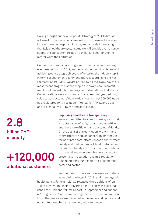Having brought our new Corporate Strategy 2020+ to life, we will use it to pursue various areas of focus. These include assuming even greater responsibility for, and actively influencing, the Swiss healthcare system. And we will provide even stronger support to our customers as an advisor and coordinator no matter what their situation.

Our commitment is receiving a warm welcome and bearing ever greater fruit. In 2019, we came within touching distance of achieving our strategic objective of entering the industry top 3 in terms of customer recommendations (according to the Net Promoter Score, NPS). We are only a few points away. Key to our most recent progress is that people are aware of our commitment, and reward it by trusting in our strength and reliability. Our innovations were also central to success last year, adding value to our customers' day-to-day lives. Almost 200,000 users had registered for three apps - "Helsana+", "Helsana Coach" and "Helsana Trail" – by the end of the year.

#### **Improving health care transparency**

We are committed to a healthcare system that is sustainable, of a high quality, competitive, and therefore efficient and customer-friendly. On the basis of this conviction, we will make every effort to help enhance transparency in terms of both cost-effectiveness and treatment quality and that, in turn, will lead to stable premiums. Our timely and proactive contributions to the legal and regulatory framework help to prevent over-regulation and mis-regulation, thus reinforcing our position as a competent actor and partner.

We continued to use various measures to share valuable knowledge in 2019, and to engage with

health policy. For example, we released three editions of our "Point of View" magazine covering health policy. We also published the "Helsana Volume Report" in September and our annual "Drug Report" in November. Together with other communications, they were very well received in the media and politics, and our content reached an extremely wide audience.

## **2.8 billion CHF in equity**

# **+120,000 additional customers**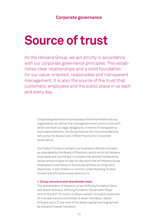# **Source of trust**

As the Helsana Group, we act strictly in accordance with our corporate governance principles. This establishes clear relationships and a solid foundation for our value-oriented, responsible and transparent management. It is also the source of the trust that customers, employees and the public place in us each and every day.

> Corporate governance encompasses the entire Helsana Group organisation as well as the management and control tools with which we meet our legal obligations. In terms of transparency and responsibilities, the Group follows the recommendations set out by the Swiss Code of Best Practice for Corporate Governance.

> Our Code of Conduct contains our business's ethical principles as stipulated by the Board of Directors, and to which all Helsana employees are committed. It contains the shared fundamental values and principles for day-to-day work that all Helsana Group employees must follow to ensure we achieve our long-term objectives. It also fosters a common understanding of what honest and ethical business practice is.

#### **1. Group structure and shareholder base**

The shareholders of Helsana Ltd are Stiftung Fondation Sana and Verein Artisana. Stiftung Fondation Sana holds 79 per cent of the CHF 70 million in share capital. Its board comprises 30 members and a committee of seven members. Verein Artisana owns 21 per cent of the share capital and is governed by a board of seven members.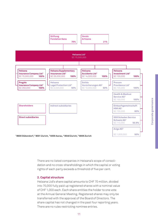

There are no listed companies in Helsana's scope of consolidation and no cross-shareholdings in which the capital or voting rights of each party exceeds a threshold of five per cent.

#### **2. Capital structure**

Helsana Ltd's share capital amounts to CHF 70 million, divided into 70,000 fully paid up registered shares with a nominal value of CHF 1,000 each. Each share entitles the holder to one vote at the Annual General Meeting. Registered shares may only be transferred with the approval of the Board of Directors. The share capital has not changed in the past four reporting years. There are no rules restricting nominee entries.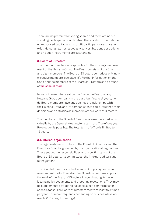There are no preferred or voting shares and there are no outstanding participation certificates. There is also no conditional or authorised capital, and no profit participation certificates exist. Helsana has not issued any convertible bonds or options and no such instruments are outstanding.

#### **3. Board of Directors**

The Board of Directors is responsible for the strategic management of the Helsana Group. The Board consists of the Chair and eight members. The Board of Directors comprises only nonexecutive members (see page 18). Further information on the Chair and the members of the Board of Directors can be found at: **[helsana.ch/bod](http://helsana.ch/bod)**

None of the members sat on the Executive Board of any Helsana Group company in the past four financial years, nor do Board members have any business relationships with the Helsana Group and its companies that could influence their decisions and activities as members of the Board of Directors.

The members of the Board of Directors are each elected individually by the General Meeting for a term of office of one year. Re-election is possible. The total term of office is limited to 16 years.

#### **3.1. Internal organisation**

The organisational structure of the Board of Directors and the Executive Board is governed by the organisational regulations. These set out the responsibilities and reporting tasks of the Board of Directors, its committees, the internal auditors and management.

The Board of Directors is the Helsana Group's highest management authority. Four standing Board committees support the work of the Board of Directors in coordinating its tasks, issuing policy documents and preparing resolutions. They may be supplemented by additional specialised committees for specific tasks. The Board of Directors meets at least five times per year – or more frequently depending on business developments (2019: eight meetings).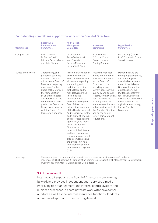| <b>Committees</b> | <b>Executive &amp;</b><br>Remuneration<br>Committee                                                                                                                                                                                                                                                                                               | <b>Audit &amp; Risk</b><br><b>Management</b><br>Committee                                                                                                                                                                                                                                                                                                                                                                                                                                                                                                                                                                                                                      | Investment<br>Committee                                                                                                                                                                                                                                                                                                                                                                                   | <b>Digitalisation</b><br>Committee                                                                                                                                                                                                                                                                                                  |
|-------------------|---------------------------------------------------------------------------------------------------------------------------------------------------------------------------------------------------------------------------------------------------------------------------------------------------------------------------------------------------|--------------------------------------------------------------------------------------------------------------------------------------------------------------------------------------------------------------------------------------------------------------------------------------------------------------------------------------------------------------------------------------------------------------------------------------------------------------------------------------------------------------------------------------------------------------------------------------------------------------------------------------------------------------------------------|-----------------------------------------------------------------------------------------------------------------------------------------------------------------------------------------------------------------------------------------------------------------------------------------------------------------------------------------------------------------------------------------------------------|-------------------------------------------------------------------------------------------------------------------------------------------------------------------------------------------------------------------------------------------------------------------------------------------------------------------------------------|
| Composition       | Prof. Thomas<br>D. Szucs (Chair).<br>Michela Ferrari-Testa<br>and Reto Stump                                                                                                                                                                                                                                                                      | Dr Christiane<br>Roth-Godat (Chair).<br>Yves Cuendet.<br>Severin Moser and<br>Dr Benedikt Koch                                                                                                                                                                                                                                                                                                                                                                                                                                                                                                                                                                                 | Prof. Thomas<br>D. Szucs (Chair).<br>Daniel Loup and<br>Dr Jürg Dommer                                                                                                                                                                                                                                                                                                                                    | Reto Stump (Chair),<br>Prof. Thomas D. Szucs.<br>Severin Moser                                                                                                                                                                                                                                                                      |
| Duties and powers | Coordinating and<br>preparing business<br>matters to be sub-<br>mitted to the Board of<br>Directors; preparing<br>proposals for the<br>Board of Directors on<br>the remuneration<br>of Board members:<br>and determining the<br>remuneration to be<br>paid to the Executive<br>Board in accordance<br>with the Board of<br>Directors' guidelines. | Preliminary evaluation<br>and opinion to the<br>Board of Directors on<br>all matters regarding<br>accounting and<br>auditing; reporting<br>to the Board on the<br>mandate, reporting<br>(including the<br>management letter)<br>and determining the<br>fees of the exter-<br>nal auditors: election<br>of the Head of Internal<br>Audit; coordinating the<br>audit plans of internal<br>and external auditors;<br>approving, and report-<br>ing to, the Board of<br>Directors on the<br>reports of the internal<br>auditors, the respon-<br>sible actuary, external<br>group companies and<br>the situation in risk<br>management and the<br>internal control system<br>(ICS). | Preliminary assess-<br>ments and preparing<br>position statements<br>for the Board of<br>Directors on the<br>reporting of non-<br>current assets in the<br>quarterly and annual<br>reports, on the value at<br>risk, the investment<br>strategy and invest-<br>ment transactions that<br>fall within the remit of<br>the Board of Directors:<br>and on the annual<br>review of investment<br>regulations. | Demanding and pro-<br>moting 'digital maturity'<br>and ensuring the<br>sustainable develop-<br>ment of the Helsana<br>Group with regard to<br>digitalisation. The<br>Digitalisation Commit-<br>tee is involved in the<br>formulation and further<br>development of the<br>digitalisation strategy<br>for the Board of<br>Directors. |

#### **Four standing committees support the work of the Board of Directors**

Meetings The meetings of the four standing committees are based on business needs (number of meetings in 2019: Executive & Remuneration Committee: 8, Audit & Risk Management Committee: 6, Investment Committee: 5, Digitalisation Committee: 4).

#### **3.2. Internal audit**

Internal audit supports the Board of Directors in performing its work and provides independent audit services aimed at improving risk management, the internal control system and business processes. It coordinates its work with the external auditors as well as the internal assurance functions. It adopts a risk-based approach in conducting its work.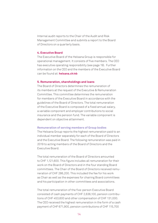Internal audit reports to the Chair of the Audit and Risk Management Committee and submits a report to the Board of Directors on a quarterly basis.

#### **4. Executive Board**

The Executive Board of the Helsana Group is responsible for operational management. It consists of five members. The CEO has executive operating responsibility (see page 19). Further information on the CEO and the members of the Executive Board can be found at: **[helsana.ch/eb](http://helsana.ch/eb)**

#### **5. Remuneration, shareholdings and loans**

The Board of Directors determines the remuneration of its members at the request of the Executive & Remuneration Committee. This committee determines the remuneration for members of the Executive Board in accordance with the guidelines of the Board of Directors. The total remuneration of the Executive Board is composed of a fixed annual salary, a variable component and employer contributions to social insurance and the pension fund. The variable component is dependent on objective attainment.

#### **Remuneration of serving members of Group bodies**

The Helsana Group reports the highest remuneration paid to an individual member separately for each of the Board of Directors and the Executive Board. The following remuneration was paid in 2019 to acting members of the Board of Directors and the Executive Board.

The total remuneration of the Board of Directors amounted to CHF 1,121,600. This figure includes all remuneration for their work on the Board of Directors and in the four standing Board committees. The Chair of the Board of Directors received remuneration of CHF 286,200. This included the fee for his work as Chair as well as the expenses for chairing Board committees and his participation in other committees and associations.

The total remuneration of the five-person Executive Board consisted of cash payments of CHF 2,636,100, pension contributions of CHF 453,600 and other compensation of CHF 131,000. The CEO received the highest remuneration in the form of a cash payment of CHF 671,900, pension contributions of CHF 115,700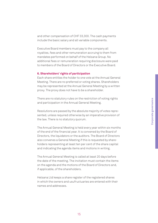and other compensation of CHF 33,300. The cash payments include the basic salary and all variable components.

Executive Board members must pay to the company all royalties, fees and other remuneration accruing to them from mandates performed on behalf of the Helsana Group. No additional fees or remuneration requiring disclosure were paid to members of the Board of Directors or the Executive Board.

#### **6. Shareholders' rights of participation**

Each share entitles the holder to one vote at the Annual General Meeting. There are no preferred or voting shares. Shareholders may be represented at the Annual General Meeting by a written proxy. The proxy does not have to be a shareholder.

There are no statutory rules on the restriction of voting rights and participation in the Annual General Meeting.

Resolutions are passed by the absolute majority of votes represented, unless required otherwise by an imperative provision of the law. There is no statutory quorum.

The Annual General Meeting is held every year within six months of the end of the financial year. It is convened by the Board of Directors, the liquidators or the auditors. The Board of Directors also convenes a General Meeting if this is requested by shareholders representing at least ten per cent of the share capital and indicating the agenda items and motions in writing.

The Annual General Meeting is called at least 20 days before the date of the meeting. The invitation must contain the items on the agenda and the motions of the Board of Directors and, if applicable, of the shareholders.

Helsana Ltd keeps a share register of the registered shares in which the owners and usufructuaries are entered with their names and addresses.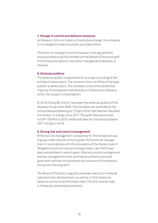#### **7. Change in control and defence measures**

As Helsana Ltd is not listed on the stock exchange, the company is not obliged to make any public purchase offers.

There are no change of control clauses in any agreements and plans favouring the members of the Board of Directors and/ or the Executive Board or any other managerial employees of Helsana.

#### **8. External auditors**

The external auditor is appointed for one year according to the articles of association. The maximum term of office of the lead auditor is seven years. The mandate covers the substantial majority of companies held directly or indirectly by Helsana within the scope of consolidation.

Ernst & Young AG, Zurich, has been the external auditor of the Helsana Group since 2006. The mandate was extended at the Annual General Meeting on 12 April 2019. Rolf Bächler has been the auditor in charge since 2017. The audit fees amounted to CHF 705'843 in 2019. Additional fees for consulting totalled CHF 110,502 in 2019.

#### **9. Strong risk and control management**

Effective risk management is essential for the Helsana Group. A group-wide internal control system (ICS) and risk management in accordance with the provisions of the Swiss Code of Obligations and the Insurance Supervision Law (VAC) have been established in recent years. Risk and control management are key management tools and help to achieve corporate goals and maintain the existence and success of the Helsana Group over the long term.

The Board of Directors regularly receives reports on material risks and their development, as well as on the measures taken to control and limit these risks. The ICS records risks in Helsana's operating businesses.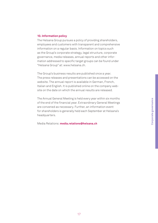#### **10. Information policy**

The Helsana Group pursues a policy of providing shareholders, employees and customers with transparent and comprehensive information on a regular basis. Information on topics such as the Group's corporate strategy, legal structure, corporate governance, media releases, annual reports and other information addressed to specific target groups can be found under "Helsana Group" at: www.helsana.ch.

The Group's business results are published once a year. The press releases and presentations can be accessed on the website. The annual report is available in German, French, Italian and English. It is published online on the company website on the date on which the annual results are released.

The Annual General Meeting is held every year within six months of the end of the financial year. Extraordinary General Meetings are convened as necessary. Further, an information event for shareholders is generally held each September at Helsana's headquarters.

Media Relations: **media.relations@helsana.ch**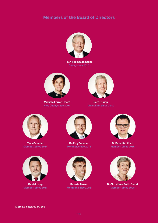### **Members of the Board of Directors**



**Prof. Thomas D. Szucs Chair, since 2010**



**Michela Ferrari-Testa Vice Chair, since 2007**



**Reto Stump Vice Chair, since 2012**



**Yves Cuendet Member, since 2014**



**Daniel Loup Member, since 2011**



**Dr Jürg Dommer Member, since 2013**



**Severin Moser Member, since 2008**



**Dr Benedikt Koch Member, since 2016**



**Dr Christiane Roth-Godat Member, since 2008**

**More at: [helsana.ch/bod](http://helsana.ch/bod)**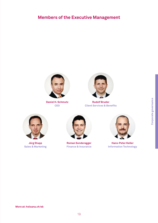### **Members of the Executive Management**



**Daniel H. Schmutz CEO**



**Rudolf Bruder Client Services & Benefits**



**Jürg Stupp Sales & Marketing**



**Roman Sonderegger Finance & Insurance**



**Hans-Peter Keller Information Technology**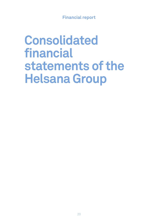**Financial report** 

# **Consolidated financial statements of the Helsana Group**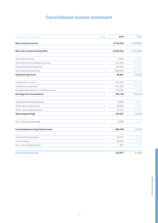### **Consolidated income statement**

| Figures in CHF thousand                 | <b>Notes</b> | 2019         | 2018         |
|-----------------------------------------|--------------|--------------|--------------|
| Net premiums earned                     | 4            | 6,743,233    | 6,500,592    |
| Net cost of claims and benefits         | 4            | $-6,340,004$ | $-6,194,830$ |
|                                         |              |              |              |
| Allocated interest                      |              | 9,895        | 10,082       |
| Risk adjustment between insurers        |              | 445,820      | 575,911      |
| Policyholder participation              |              | $-65,290$    | $-61,022$    |
| Net operating expenses                  | 4            | $-696,692$   | $-655,482$   |
| <b>Underwriting result</b>              |              | 96,961       | 175,252      |
|                                         |              |              |              |
| Investment income                       |              | 914,043      | 493,524      |
| Investment expenses                     |              | $-347,307$   | $-625,232$   |
| Change in provision for investment risk |              | $-175,000$   | $-4,000$     |
| <b>Earnings from investments</b>        | 5            | 391,736      | $-135,708$   |
| Allocated interest expenses             |              | $-9,895$     | $-10,082$    |
| Other operating income                  | 4            | 39,694       | 40,711       |
| Other operating expenses                | 4            | $-31,130$    | $-23,883$    |
| Operating earnings                      |              | 487,367      | 46,290       |
| Non-operating earnings                  | 4            | 9,090        | $-1,047$     |
|                                         |              |              |              |
| Consolidated earnings before taxes      |              | 496,458      | 45,243       |
| Deferred income taxes                   |              | $-39,270$    | 19,245       |
| Income taxes                            |              | $-20,584$    | $-9,721$     |
| Non-controlling interest                |              | $-627$       | $-702$       |
| <b>Consolidated earnings</b>            |              | 435,977      | 54,065       |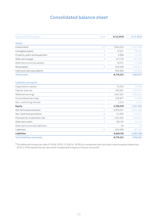### **Consolidated balance sheet**

| Figures in CHF thousand                      | <b>Notes</b> | 31.12.2019 | 31.12.2018 |
|----------------------------------------------|--------------|------------|------------|
| <b>Assets</b>                                |              |            |            |
| Investments                                  | 6,7          | 7,064,032  | 6,237,458  |
| Intangible assets                            | 8            | 37,021     | 28,825     |
| Property, plant and equipment                | 8            | 9,968      | 12,755     |
| Deferred charges                             | 9            | 417,729    | 591,728    |
| Deferred income tax assets                   |              | 78,321     | 117,546    |
| Receivables                                  | 10           | 509,295    | 405,670    |
| Cash and cash equivalents                    |              | 658,865    | 512,569    |
| <b>Total assets</b>                          |              | 8,775,231  | 7,906,551  |
| Organisation capital                         |              | 70,000     | 70,000     |
| <b>Liabilities and equity</b>                |              |            |            |
| Capital reserves                             |              | 405,601    | 405,601    |
| Retained earnings                            |              | 1,841,287  | 1,789,322  |
| Consolidated earnings                        |              | 435,977    | 54,065     |
| Non-controlling interest                     |              | 2,214      | 2,275      |
| Equity                                       |              | 2,755,079  | 2,321,263  |
| Net technical provisions                     | 11           | 3,879,021  | 3,904,586  |
| Non-technical provisions                     | 12           | 112,597    | 122,627    |
| Provision for investment risk                | 13           | 1,021,632  | 846,632    |
| Deferred credits                             | 9            | 106,152    | 54.220     |
| Deferred income tax liabilities <sup>1</sup> |              | 84         | 39         |
| Liabilities                                  | 10           | 900,666    | 657,184    |
| Liabilities                                  |              | 6,020,152  | 5,585,288  |
| <b>Total liabilities and equity</b>          |              | 8,775,231  | 7,906,551  |

**<sup>1</sup>** The deferred income tax rate of 18.4% (2019: 21.5%) (or 18.8% for companies that can claim a participation deduction, 2019: 0.31%) equals the tax rate which is expected to apply to the pre-tax profit.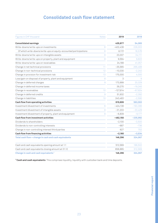### **Consolidated cash flow statement**

| Figures in CHF thousand                                           | <b>Notes</b>    | 2019       | 2018       |
|-------------------------------------------------------------------|-----------------|------------|------------|
| <b>Consolidated earnings</b>                                      |                 | 435,977    | 54,065     |
| Write-downs/write-ups on investments                              |                 | $-402,438$ | 228,003    |
| Of which write-downs/write-ups on equity-accounted participations |                 | 9,172      | 16,576     |
| Write-downs/write-ups on intangible assets                        |                 | 23,007     | 34,111     |
| Write-downs/write-ups on property, plant and equipment            |                 | 9,594      | 9,822      |
| Write-downs/write-ups on receivables                              |                 | 24,188     | 41,057     |
| Change in net technical provisions                                | 11              | $-25,565$  | 266,488    |
| Change in non-technical provisions                                | 12              | $-10,030$  | $-2,240$   |
| Change in provision for investment risk                           | 13              | 175,000    | 4,000      |
| Loss/gain on disposal of property, plant and equipment            | $\overline{R}$  | 3          | $\alpha$   |
| Change in deferred charges                                        | $\alpha$        | 173,999    | 20,329     |
| Change in deferred income taxes                                   |                 | 39,270     | $-19,245$  |
| Change in receivables                                             | 10 <sup>°</sup> | $-127.814$ | $-67,824$  |
| Change in deferred credits                                        | $\alpha$        | 51,932     | $-2,392$   |
| Change in liabilities                                             | 10 <sup>°</sup> | 243,483    | $-2,590$   |
| Cash flow from operating activities                               |                 | 610,606    | 563,593    |
| Investment/divestment of investments                              |                 | $-424,138$ | $-193,386$ |
| Investment/divestment of intangible assets                        |                 | $-31,203$  | $-33,429$  |
| Investment/divestment of property, plant and equipment            |                 | $-6,809$   | $-9,177$   |
| Cash flow from investment activities                              |                 | $-462,150$ | $-235,992$ |
| Dividends to shareholders                                         |                 | $-2,100$   | $-3,500$   |
| Dividends to non-controlling interests                            |                 | $-687$     | $-736$     |
| Change in non-controlling interest/third parties                  |                 | 627        | 702        |
| Cash flow from financing activities                               |                 | $-2,160$   | $-3,534$   |
| Total cash flow = change in cash and cash equivalents             |                 | 146,296    | 324,067    |
| Cash and cash equivalents opening amount at 1.1                   |                 | 512,569    | 188,502    |
| Cash and cash equivalents closing amount at 31.12                 |                 | 658,865    | 512,569    |
| Change in cash and cash equivalents <sup>1</sup>                  |                 | 146,296    | 324,067    |

**1 Cash and cash equivalents** This comprises liquidity, liquidity with custodian bank and time deposits.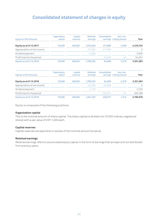### **Consolidated statement of changes in equity**

| <b>Figures in CHF thousand</b> | <b>Organisation</b><br>capital | Capital<br>reserves | <b>Retained</b><br>earnings | <b>Consolidated</b><br>earnings | Non-con-<br>trolling interest | Total     |
|--------------------------------|--------------------------------|---------------------|-----------------------------|---------------------------------|-------------------------------|-----------|
| Equity as at 31.12.2017        | 70,000                         | 405,601             | 1,574,940                   | 217,882                         | 2,309                         | 2,270,732 |
| Appropriation of net income    |                                |                     | 217,882                     | $-217,882$                      |                               | $\Omega$  |
| Dividend payment               |                                |                     | $-3,500$                    |                                 |                               | $-3,500$  |
| Profit/loss for the period     |                                |                     |                             | 54,065                          | $-34$                         | 54,031    |
| Equity as at 31.12.2018        | 70,000                         | 405,601             | 1,789,322                   | 54,065                          | 2,275                         | 2,321,263 |
| <b>Figures in CHF thousand</b> | <b>Organisation</b><br>capital | Capital<br>reserves | <b>Retained</b><br>earnings | Consolidated<br>earnings        | Non-con-<br>trolling interest | Total     |
| Equity as at 31.12.2018        | 70,000                         | 405,601             | 1,789,322                   | 54,065                          | 2,275                         | 2,321,263 |
| Appropriation of net income    |                                |                     | 54,065                      | $-54.065$                       |                               | $\Omega$  |
| Dividend payment               |                                |                     | $-2,100$                    |                                 |                               | $-2,100$  |
| Profit/loss for the period     |                                |                     |                             | 435,977                         | $-61$                         | 455,796   |

**Equity as at 31.12.2019 70,000 405,601 1,841,287 435,977 2,214 2,755,079**

Equity is composed of the following positions:

#### **Organisation capital**

This is the nominal amount of share capital. The share capital is divided into 70,000 ordinary registered shares with a par value of CHF 1,000 each.

#### **Capital reserves**

Capital reserves are payments in excess of the nominal amount (surplus).

#### **Retained earnings**

Retained earnings refers to accumulated equity capital in the form of earnings that are kept and not distributed from previous years.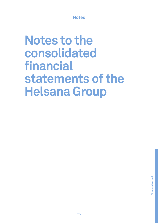**Notes**

**Notes to the consolidated financial statements of the Helsana Group**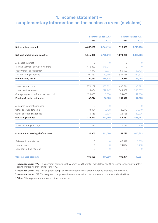### **1. Income statement – supplementary information on the business areas (divisions)**

|                                         |                | Insurance under KVG <sup>1</sup> |                | Insurance under VVG <sup>2</sup> |
|-----------------------------------------|----------------|----------------------------------|----------------|----------------------------------|
|                                         | 2019           | 2018                             | 2019           | 2018                             |
| Net premiums earned                     | 4,888,190      | 4,646,110                        | 1,713,328      | 1,718,703                        |
| Net cost of claims and benefits         | $-4,944,050$   | $-4,778,210$                     | $-1,276,258$   | $-1,307,225$                     |
| Allocated interest                      | $\circ$        | $\Omega$                         | $\circledcirc$ | $\bigcap$                        |
| Risk adjustment between insurers        | 445,820        | 575,911                          | $\circledcirc$ | $\Omega$                         |
| Policyholder participation              | $-7,377$       | $-8,871$                         | $-56,592$      | $-50,733$                        |
| Net operating expenses                  | $-291,860$     | $-299,266$                       | $-376,854$     | $-331,677$                       |
| <b>Underwriting result</b>              | 90,723         | 135,674                          | 3,624          | 29,068                           |
| Investment income                       | 276,209        | 167,322                          | 405,714        | 190,392                          |
| Investment expenses                     | $-115,434$     | $-212,447$                       | $-143,337$     | $-266,057$                       |
| Change in provision for investment risk | $-120,000$     | 15,000                           | $-25,000$      | 11,000                           |
| <b>Earnings from investments</b>        | 40,774         | $-30,125$                        | 237,377        | $-64,665$                        |
| Allocated interest expenses             | $\circ$        | $\bigcirc$                       | $\circledcirc$ | $\cap$                           |
| Other operating income                  | 9,384          | 8,758                            | 30,173         | 31,010                           |
| Other operating expenses                | $-4,458$       | $-2,838$                         | $-25,736$      | $-20,875$                        |
| <b>Operating earnings</b>               | 136,423        | 111,469                          | 245,437        | $-25,463$                        |
| Non-operating earnings                  | 227            | $121$                            | 2,285          | 100                              |
| Consolidated earnings before taxes      | 136,650        | 111,590                          | 247,722        | $-25,363$                        |
| Deferred income taxes                   | $\circ$        | $\circ$                          | $-40,047$      | 15,809                           |
| Income taxes                            | $\circledcirc$ | $\circ$                          | $-19,304$      | $-8,430$                         |
| Non-controlling interest                | $\circ$        | $\circ$                          | $\circ$        | $\bigcap$                        |
| <b>Consolidated earnings</b>            | 136,650        | 111,590                          | 188,371        | $-17,984$                        |

**1 Insurance under KVG** This segment comprises the companies that offer mandatory health care insurance and voluntary daily benefits insurance under the KVG.

**2 Insurance under VVG** This segment comprises the companies that offer insurance products under the VVG.

**3 Insurance under UVG** This segment comprises the companies that offer insurance products under the UVG.

**4 Other** This segment comprises all other companies.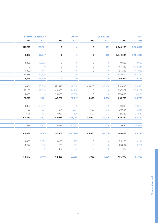| <b>Total</b> |              | Elimination    |                | Other <sup>4</sup> |                |                | Insurance under UVG <sup>3</sup> |
|--------------|--------------|----------------|----------------|--------------------|----------------|----------------|----------------------------------|
| 2018         | 2019         | 2018           | 2019           | 2018               | 2019           | 2018           | 2019                             |
| 6,500,592    | 6,743,233    | $-152$         | $\mathbf{0}$   | $\mathbf 0$        | $\mathbf 0$    | 135,931        | 141,715                          |
|              |              |                |                |                    |                |                |                                  |
| $-6,194,830$ | $-6,340,004$ | 152            | $\overline{0}$ | $\mathbf 0$        | $\mathbf 0$    | $-109,547$     | $-119,697$                       |
|              |              |                |                |                    |                |                |                                  |
| 10,082       | 9,895        | $\circ$        | $\circ$        | $\circ$            | $\circledcirc$ | 10,082         | 9,895                            |
| 575,911      | 445,820      | $\circ$        | $\circ$        | $\circ$            | $\circ$        | $\overline{0}$ | $\circ$                          |
| $-61,022$    | $-65,290$    | $\circ$        | $\circ$        | $\overline{0}$     | $\circledcirc$ | $-1,418$       | $-1,320$                         |
| $-655,482$   | $-696,692$   | $\circ$        | $\circ$        | $\circ$            | $\circ$        | $-24,539$      | $-27,978$                        |
| 175,252      | 96,961       | $\overline{0}$ | $\mathbf 0$    | $\mathbf{O}$       | $\mathbf 0$    | 10,510         | 2,615                            |
|              |              |                |                |                    |                |                |                                  |
| 493,524      | 914,043      | $-4,000$       | $-5,000$       | 69,000             | 121,116        | 70,810         | 116,004                          |
| $-625,232$   | $-347,307$   | $\overline{0}$ | $\circ$        | $-74,718$          | $-49,350$      | $-72,010$      | $-39,185$                        |
|              | $-175,000$   | $\circ$        | $\circ$        | $-30,000$          | $-25,000$      | $\overline{0}$ | $-5,000$                         |
| $-135,708$   | 391,736      | $-4,000$       | $-5,000$       | $-35,717$          | 46,767         | $-1,201$       | 71,819                           |
|              |              |                |                |                    |                |                |                                  |
|              | $-9,895$     | $\circ$        | $\circ$        | $\overline{0}$     | $\circ$        | $-10,082$      | $-9,895$                         |
|              | 39,694       | $-912$         | $-697$         | 1,271              | 374            | 584            | 460                              |
|              | $-31,130$    | 912            | 697            | $-599$             | $-1,087$       | $-483$         | $-546$                           |
|              | 487,367      | $-4,000$       | $-5,000$       | $-35,045$          | 46,054         | $-672$         | 64,453                           |
|              |              |                |                |                    |                |                |                                  |
|              | 9,090        | $\circ$        | $\circ$        | $-1,251$           | 6,598          | $-17$          | $-19$                            |
|              | 496,458      | $-4,000$       | $-5,000$       | $-36,296$          | 52,652         | $-689$         | 64,434                           |
|              |              |                |                |                    |                |                |                                  |
|              | $-39,270$    | $\circ$        | $\circ$        | 107                | 10,460         | 3,329          | $-9,683$                         |
|              | $-20,584$    | $\circ$        | $\circ$        | $-761$             | $-206$         | $-530$         | $-1,074$                         |
|              | $-627$       | $\circ$        | $\circ$        | $-702$             | $-627$         | $\circ$        | $\circ$                          |
|              |              |                |                |                    |                |                |                                  |
|              | 435,977      | $-4,000$       | $-5,000$       | $-37,652$          | 62,280         | 2,110          | 53,677                           |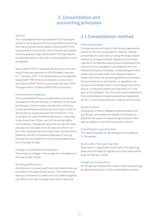### **2. Consolidation and accounting principles**

#### **General**

The consolidated financial statements 2019 are presented in accordance with the Swiss GAAP accounting and reporting recommendations (Swiss GAAP FER) and provide a true and fair view of the Group's assets, finances and earnings. Swiss GAAP FER represents a complete body of rules. All recommendations must be applied.

Swiss GAAP FER 41 entered into force for the individual financial statements of KVG health insurers on 1 January 2012. The Helsana Group has applied Swiss GAAP FER 30 (Consolidation) in conjunction with Swiss GAAP FER 41 since financial year 2015. The application of Swiss GAAP FER is voluntary.

#### **Consolidated companies**

The consolidated financial statements include all companies that are directly or indirectly controlled by Helsana. Control means the decisive influence on the operational and financial activities in order to derive the corresponding benefit therefrom. This is usually the case if Helsana directly or indirectly holds more than 50 per cent of the voting rights in a company. Companies acquired during the financial year are included from the date on which control over the business activities was transferred to Helsana, and all companies disposed of during the year are excluded from the Group statements from the date of sale.

#### **Change in consolidated companies**

There was no change in the scope of consolidation in the year under review.

#### **Rounding differences**

All amounts in the annual financial statements are rounded to thousand Swiss francs. This means that the sum of several rounded amounts added together can differ from the rounded total that is reported.

### **2.1 Consolidation method**

#### **Full consolidation**

Companies are included in the Group statements based on the full consolidation method. Capital consolidation is carried out using the Anglo-Saxon method (purchase method). Assets and borrowed capital of companies acquired are revalued at the time of control changes in accordance with the Helsana Group's principles; unrealised gains and losses are carried under the relevant balance sheet items and the remaining difference between the purchase price and equity, i.e. goodwill, calculated according to the accounting policies of the Group, is fully amortised over five years or in the year of consolidation. Any third-party participations in fully consolidated companies are shown separately as non-controlling interests in equity and income.

#### **Equity method**

Companies in which Helsana holds between a 20 and 50 per cent stake are stated in the balance sheet at the value corresponding to the pro rata equity capital in line with the equity method.

#### **Consolidation reporting date**

The reporting date for all companies included is 31 December.

#### **Events after the reporting date**

There were no significant events after the reporting date until the date of signature by the responsible body (4 February 2020).

#### **Intragroup transactions**

All intragroup transactions, relationships and earnings are eliminated as part of the consolidation process.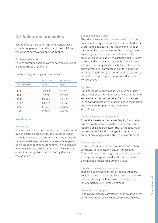### **2.2 Valuation principles**

Valuation is carried out in line with standardised criteria. In general, the principle of the individual valuation of assets and liabilities applies.

#### **Foreign currencies**

Foreign currency positions are converted at current exchange rates at year-end.

The following exchange rates were used:

|               | 31.12.2019 | 31.12.2018 |
|---------------|------------|------------|
| Unit/currency | Price      | Price      |
| 1 EUR         | 1.08550    | 1.12651    |
| 1 GBP         | 1.27613    | 1.25356    |
| 1 USD         | 0.96765    | 0.98421    |
| 100 JPY       | 0.89072    | 0.89442    |
| 1 CAD         | 0.74344    | 0.72209    |
| 1 AUD         | 0.67873    | 0.69438    |

#### **Investments**

#### Real estate

Real estate includes both investment properties and owner-occupied properties, and is recognised in the balance sheet at current market value. Market values are estimated at least once every three years by an independent consulting firm. The values are determined using the discounted cash flow method or another recognised method during the intervening years.

#### Bonds and bond funds

Fixed-income securities are recognised in the balance sheet using the amortised cost method if the debtor is able to pay the interest and amortisation payments. Periodic changes in the carrying amount are recognised in the income statement. If there are justified doubts about the debtor's ability to pay interest and amortisation payments, fixed-income securities are recognised in the balance sheet at their current value. Investments in similar securities without a fixed term (e.g. bond funds) or without a defined redemption price are reported at their market value.

#### **Equities**

Equities include equity securities such as stocks and similar securities. Such assets are marketable and are valued at market price. Periodic changes in the carrying amount are recognised in the income statement. Any impairments are booked accordingly.

#### Collective investment schemes

Collective investment schemes (equity funds, alternative investments, real estate funds, etc.) are reported as a separate item. They are measured at current value. Periodic changes in the carrying amount are recognised in the income statement.

#### Currency futures

Derivatives include foreign exchange and option contracts, certificates on equity indices and futures. Forward exchange transactions are used to hedge exchange rate and market price fluctuations and are measured at market value.

#### Investments in other companies

These include investments in companies that are held for strategic purposes. These investments are measured using the last known pro rata equity (equity method) or are valued at cost.

#### Loans and mortgages

Loans and mortgages are stated in the balance sheet at nominal value less any necessary write-downs.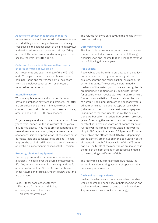#### Assets from employer contribution reserve

Assets from the employer contribution reserve are, provided they are not subject to a waiver of usage, recognised in the balance sheet at their nominal value and deducted from staff costs accordingly if they are used. The value is reviewed annually and, if necessary, the item is written down.

#### Collateral for own liabilities as well as assets under reservation of ownership

All investments and cash holdings of the KVG, VVG and UVG segments, with the exception of shareholdings, loans and mortgages as well as assets from the employer contribution reserves, are reported as tied assets.

#### **Intangible assets**

With intangible assets, a distinction is drawn between purchased software and projects. The latter are amortised on a straight-line basis over the course of their useful life. With purchased software, amounts below CHF 5,000 are expensed.

Projects are generally amortised over a period of five years from launch, up to a maximum of ten years in justified cases. They must provide a benefit over several years. At maximum, they are measured at cost of acquisition or production. These costs must be measurable and allocable to the project. Projects may only be capitalised if they are strategic in nature or involve an investment in excess of CHF 3 million.

#### **Property, plant and equipment**

Property, plant and equipment are depreciated on a straight-line basis over the course of their useful life. Any acquisitions or collective acquisitions for amounts of more than CHF 5,000 are capitalised under fixtures and fittings. Amounts below this limit are expensed.

Useful life for each asset category:

- Five years for fixtures and fittings
- Three years for IT hardware
- Three years for vehicles

The value is reviewed annually and the item is written down accordingly.

#### **Deferred charges**

This item includes expenses during the reporting year that are deducted as an expense in the following financial year, and income that only leads to revenue in the following financial year.

#### **Receivables**

Receivables due from third parties, such as policyholders, insurance organisations, agents and brokers, cantons and other parties, are measured at nominal value. The security is determined on the basis of the maturity structure and recognisable credit risks. In addition to individual write-downs for specific known receivable risks, impairments are formed using statistical information about the risk of default. The calculation of the necessary value adjustments also includes the type of receivable (private customer, corporate customer, co-payment) in addition to the maturity structure. The assumptions are based on historical figures from previous years. Assuming the losses on accounts remain constant as in previous years, an allowance for doubtful receivables is made for the unpaid receivables of up to 180 days with a rate of 0.25 per cent. For older receivables, the effects of Art. 64a KVG (depending on the canton) are included in the calculation of the allowance for doubtful receivables of the KVG companies. The totals of the receivables are included in the ratio of the debt collection proceedings initiated to the resulting certificates of debt.

The receivables due from affiliates are measured at nominal value, taking account of operationally necessary impairments.

#### **Cash and cash equivalents**

Cash and cash equivalents include cash on hand as well as postal and bank account balances. Cash and cash equivalents are measured at nominal value. Any impairments are booked accordingly.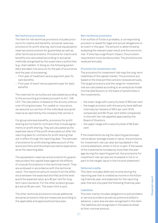#### **Net technical provisions**

The item for net technical provisions includes provisions for claims and benefits, actuarial reserves, provisions for profit sharing, technical equalisation reserves and provisions for guarantees as well as other technical provisions. Provisions for claims and benefits are calculated according to actuarial methods recognised by the supervisory authorities (e.g. chain ladder). In doing so, the following parameters are taken into account for the year of occurrence and the year of processing:

- First year of treatment versus payment year for care benefits
- First year of event versus payment year for daily benefits

The reserves for annuities are calculated according to the accounting principles pursuant to Art. 108 UVV. The calculation is based on the annuity without cost of living bonuses. For ceded co-insurance, we assume our portion of the individual actuarial reserve as reported by the company that carries it.

For group sickness benefits, provisions for profit sharing are formed for contracts that include agreements on profit sharing. They are calculated as the expected value of the profit share paid out after the reporting date for contracts for profit sharing that are in effect through the reporting date. The estimate of provisions for profit sharing takes account of the active portfolio and the empirical claims experience as at the reporting date.

The equalisation reserves and provisions for guarantees protect the capital base against the effects of unusual fluctuations in the technical result. They are endowed in accordance with the technical result. The maximum amount results from the difference between the expected shortfall and the level  $\alpha$  and the expected value.  $\alpha$  is 95 per cent for longterm care insurance. For the other product groups, α is set at 90 per cent. The lower limit is zero.

The other technical provisions include additional actuarial provisions that are measured according to the applicable and approved business plan.

#### **Non-technical provisions**

If an outflow of funds is probable, a corresponding provision is raised for legal and actual obligations on an event in the past. The amount is determined by analysing the relevant past result and the economic risk. If time has a significant impact, the provision requirement must be discounted. The provisions are revalued annually.

#### **Provision for investment risk**

The provisions for investment risk map the long-term volatilities of the capital market. The provisions are based on the total portfolio and are reviewed annually. The target provisions and the range for investment risk are calculated according to an analytical model (normal distribution) on the basis of sensitivities in the investments.

- the lower range with a security level of 99.0 per cent
- the target provision with the security level defined internally by Helsana of 99.5 per cent (KVG companies) and 99.75 per cent (other companies) in line with the risk appetite approved by the Board of Directors
- the upper range with a security level of 99.9 per cent

If the investments during the reporting period experience above-average losses in value, the provisions for investment risk can also be liquidated in the income statement, either in full or in part. If the values of the investments increase by more than the average during the reporting period, the provisions for investment risk can also be increased in full or in part to the target value in the income statement.

#### **Deferred credits**

This item includes deferred income during the reporting year that is credited as income in the following financial year, and expenses for the reporting year that are only paid the following financial year.

#### **Liabilities**

This item mainly includes obligations to policyholders or service providers as well as premiums billed in advance. Loans due are also recognised in this item. The liabilities are recognised in the balance sheet at their nominal amount.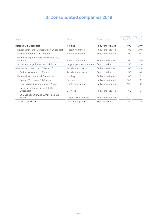### **3. Consolidated companies 2019**

| Name                                                    | Sector                   | Consolidation             | Sharehold-<br>ing in $%$ | Capital in<br>CHF <sub>m</sub> |
|---------------------------------------------------------|--------------------------|---------------------------|--------------------------|--------------------------------|
| Helsana Ltd, Dübendorf                                  | Holding                  | <b>Fully consolidated</b> | 100                      | 70.0                           |
| - Helsana Insurance Company Ltd, Dübendorf              | Health insurance         | Fully consolidated        | 100                      | 70.0                           |
| - Progrès Insurance Ltd, Dübendorf                      | Health insurance         | Fully consolidated        | 100                      | 0.3                            |
| - Helsana Supplementary Insurances Ltd,<br>Dübendorf    | Health insurance         | Fully consolidated        | 100                      | 35.0                           |
| - Helsana Legal Protection Ltd, Aarau                   | Legal expenses insurance | Equity method             | 50                       | 3.0                            |
| - Helsana Accidents Ltd, Dübendorf                      | Accident insurance       | Fully consolidated        | 100                      | 14.0                           |
| - Solida Insurance Ltd. Zurich                          | Accident insurance       | Equity method             | 50                       | 10.0                           |
| - Helsana Investment Ltd, Dübendorf                     | Holding                  | Fully consolidated        | 100                      | 0.1                            |
| - Procare Vorsorge AG, Dübendorf                        | Services                 | Fully consolidated        | 100                      | 0.1                            |
| - Health & Medical Service AG, Zurich                   | Healthcare sector        | Fully consolidated        | 100                      | 0.1                            |
| - Purchasing Cooperative HSK Ltd,<br>Dübendorf          | Services                 | Fully consolidated        | 60                       | 0.1                            |
| - SSS Schaden Service Switzerland Ltd,<br><b>Zurich</b> | Recourse settlement      | Fully consolidated        | 50.9                     | 0.1                            |
| – Aviga AG, Zurich                                      | Case management          | Equity method             | 50                       | 1.0                            |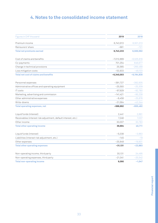### **4. Notes to the consolidated income statement**

| <b>Figures in CHF thousand</b>                                 | 2019         | 2018         |
|----------------------------------------------------------------|--------------|--------------|
| Premium income                                                 | 6,743,913    | 6,501,313    |
| Reinsurers' share                                              | $-681$       | $-721$       |
| <b>Total net premiums earned</b>                               | 6,743,233    | 6,500,592    |
|                                                                |              |              |
| Cost of claims and benefits                                    | $-7,012,889$ | $-6,525,916$ |
| Co-payments                                                    | 701,254      | 646,677      |
| Change in technical provisions                                 | 25,565       | -266,488     |
| Loss mitigation costs                                          | $-53,933$    | $-49,103$    |
| <b>Total net cost of claims and benefits</b>                   | $-6,340,003$ | $-6,194,830$ |
| Personnel expenses                                             | $-391,727$   | $-382,935$   |
| Administrative offices and operating equipment                 | $-25,593$    | $-25,309$    |
| <b>IT</b> costs                                                | $-97,929$    | $-82,780$    |
| Marketing, advertising and commission                          | $-141,421$   | $-95,238$    |
| Other administrative expenses                                  | $-8,458$     | $-25,876$    |
| Write-downs                                                    | $-31,564$    | $-43,344$    |
| <b>Total operating expenses, net</b>                           | $-696,692$   | $-655,482$   |
| Liquid funds (interest)                                        | 2,441        | 2,891        |
| Receivables (interest risk adjustment, default interest, etc.) | 7.246        | 7,037        |
| Other income                                                   | 30,007       | 30,783       |
| <b>Total other operating income</b>                            | 39,694       | 40,711       |
| Liquid funds (interest)                                        | $-5,038$     | $-3,963$     |
| Liabilities (interest risk adjustment, etc.)                   | $-145$       | $-19$        |
| Other expenses                                                 | $-25.948$    | $-19,901$    |
| <b>Total other operating expenses</b>                          | $-31,131$    | $-23,883$    |
| Non-operating income, third party                              | 30,131       | 24,495       |
| Non-operating expenses, third party                            | $-21,041$    | $-25,542$    |
| <b>Total non-operating income</b>                              | 9,090        | $-1,047$     |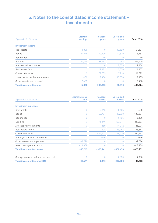### **5. Notes to the consolidated income statement – investments**

| Figures in CHF thousand              | Ordinary<br>earnings | <b>Realised</b><br>gains | <b>Unrealised</b><br>gains | <b>Total 2018</b> |  |
|--------------------------------------|----------------------|--------------------------|----------------------------|-------------------|--|
| <b>Investment income</b>             |                      |                          |                            |                   |  |
| Real estate                          | 18,895               | 0                        | 12,629                     | 31,524            |  |
| <b>Bonds</b>                         | 67,675               | 129,399                  | 21,579                     | 218,653           |  |
| Bond funds                           | $\Omega$             | 49                       |                            | 49                |  |
| Equities                             | 25,519               | 86,147                   | 17,744                     | 129,410           |  |
| Alternative investments              | $\Omega$             | 0                        | 2,359                      | 2,359             |  |
| Real estate funds                    | $\Omega$             | 22,481                   | 2,376                      | 24,857            |  |
| Currency futures                     | $\Omega$             | 57,569                   | 7.210                      | 64,779            |  |
| Investments in other companies       | 409                  | 2.450                    | 16.576                     | 19,435            |  |
| Other investment income <sup>1</sup> | 2,458                | 0                        | C                          | 2,458             |  |
| <b>Total investment income</b>       | 114,956              | 298,095                  | 80,473                     | 493,524           |  |

| Figures in CHF thousand                 | <b>Administrative</b><br>costs | <b>Realised</b><br>losses | <b>Unrealised</b><br>losses | <b>Total 2018</b> |
|-----------------------------------------|--------------------------------|---------------------------|-----------------------------|-------------------|
| <b>Investment expenses</b>              |                                |                           |                             |                   |
| Real estate                             | $\Omega$                       | $-3,415$                  | $-5,165$                    | $-8,580$          |
| <b>Bonds</b>                            | $\Omega$                       | $-152,754$                | $-30,500$                   | $-183,254$        |
| Bond funds                              | 0                              | 0                         | $-5,185$                    | $-5,185$          |
| Equities                                | 0                              | $-76,346$                 | $-180,941$                  | $-257,287$        |
| Alternative investments                 | 0                              | $-159$                    | $-14,912$                   | $-15,071$         |
| Real estate funds                       | $\Omega$                       | $-598$                    | $-63,253$                   | $-63,851$         |
| Currency futures                        | $\Omega$                       | $-66,213$                 | $-8,520$                    | $-74,733$         |
| Employer contribution reserve           | $\bigcap$                      | $-756$                    |                             | $-756$            |
| Other investment expenses               | $-2,526$                       | 0                         |                             | $-2,526$          |
| Asset management costs                  | $-13,989$                      | 0                         | 0                           | $-13,989$         |
| <b>Total investment expenses</b>        | $-16,515$                      | $-300,241$                | $-308,476$                  | $-625,232$        |
| Change in provision for investment risk | $\Omega$                       | $\Omega$                  | $-4,000$                    | $-4,000$          |
| <b>Total investment income 2018</b>     | 98,441                         | $-2,146$                  | $-232,003$                  | $-135,708$        |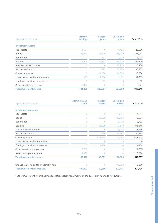| Figures in CHF thousand              | Ordinary<br>earnings | <b>Realised</b><br>gains | <b>Unrealised</b><br>gains | <b>Total 2019</b> |
|--------------------------------------|----------------------|--------------------------|----------------------------|-------------------|
| <b>Investment income</b>             |                      |                          |                            |                   |
| Real estate                          | 18,401               | 0                        | 4,423                      | 22,825            |
| <b>Bonds</b>                         | 65,131               | 75,579                   | 116,230                    | 256,941           |
| Bond funds                           |                      | 137                      | 7.900                      | 8.037             |
| Equities                             | 34,509               | 82,361                   | 282,929                    | 399,800           |
| Alternative investments              |                      | 0                        | 25,930                     | 25,930            |
| Real estate funds                    | $\Omega$             | 20,885                   | 125,850                    | 146,735           |
| Currency futures                     | $\Omega$             | 24,200                   | 14,604                     | 38,804            |
| Investments in other companies       | 332                  | 2.750                    | 9.172                      | 12.255            |
| Employer contribution reserve        | $\Omega$             | 39                       |                            | 39                |
| Other investment income <sup>1</sup> | 2,677                | 0                        |                            | 2,677             |
| <b>Total investment income</b>       | 121,050              | 205,951                  | 587,038                    | 914,043           |

| Figures in CHF thousand                 | <b>Administrative</b><br>costs | <b>Realised</b><br>losses | <b>Unrealised</b><br>losses | <b>Total 2019</b> |  |
|-----------------------------------------|--------------------------------|---------------------------|-----------------------------|-------------------|--|
| <b>Investment expenses</b>              |                                |                           |                             |                   |  |
| Real estate                             | $\Omega$                       | 0                         | $-6,111$                    | $-6,111$          |  |
| <b>Bonds</b>                            | 0                              | $-66,208$                 | $-110,883$                  | $-177,091$        |  |
| Bond funds                              | 0                              | 0                         | $-2,792$                    | $-2,792$          |  |
| Equities                                | 0                              | $-45,929$                 | $-49,619$                   | $-95,548$         |  |
| Alternative investments                 | 0                              | $\Omega$                  | $-3,436$                    | $-3,436$          |  |
| Real estate funds                       | 0                              | $-30$                     | $-7,164$                    | $-7,193$          |  |
| Currency futures                        | 0                              | $-33,965$                 | $-4,598$                    | $-38,563$         |  |
| Investments in other companies          | 0                              | 0                         | 0                           | 0                 |  |
| Employer contribution reserve           | O                              | $-450$                    | Ω                           | $-450$            |  |
| Other investment expenses               | $-2,255$                       | 0                         | 0                           | $-2,255$          |  |
| Asset management costs                  | $-13,868$                      | 0                         | Ω                           | $-13,868$         |  |
| <b>Total investment expenses</b>        | $-16,123$                      | $-146,582$                | $-184,603$                  | $-347,307$        |  |
| Change in provision for investment risk | $\mathbf{0}$                   | 0                         | $-175,000$                  | $-175,000$        |  |
| Total investment income 2017            | 104,927                        | 59,369                    | 227,435                     | 391,736           |  |

**<sup>1</sup>** Other investment income comprises retrocession repayments by the custodian financial institution.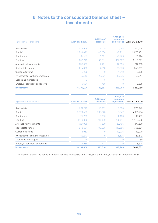### **6. Notes to the consolidated balance sheet – investments**

| Figures in CHF thousand        | As at 31.12.2017 | Additions/<br>disposals | Change in<br>valuation<br>adjustment | As at 31.12.2018 |
|--------------------------------|------------------|-------------------------|--------------------------------------|------------------|
| Real estate                    | 334,949          | 19,115                  | 7,464                                | 361,528          |
| Bonds <sup>1</sup>             | 3,739,690        | 145,634                 | $-8,921$                             | 3,876,403        |
| Bond funds                     | 24.412           | 6,071                   | $-5,185$                             | 25,298           |
| Equities                       | 1,236,278        | 43,811                  | $-163,197$                           | 1,116,892        |
| Alternative investments        | 255,067          | 4,491                   | $-12,553$                            | 247,005          |
| Real estate funds              | 614,090          | $-4,613$                | $-60,876$                            | 548,601          |
| Currency futures               | 5,272            | 0                       | $-1,310$                             | 3,962            |
| Investments in other companies | 57,613           | $-20.371$               | 16,575                               | 53,817           |
| Loans and mortgages            | 9                | 5                       | Ω                                    | 14               |
| Employer contribution reserve  | 4.694            | $-756$                  |                                      | 3,938            |
| <b>Investments</b>             | 6,272,074        | 193,387                 | $-228,003$                           | 6,237,458        |

| Figures in CHF thousand        | As at 31.12.2018 | Additions/<br>disposals | Change in<br>valuation<br>adjustment | As at 31.12.2019 |
|--------------------------------|------------------|-------------------------|--------------------------------------|------------------|
|                                |                  |                         |                                      |                  |
| Real estate                    | 361,528          | 16,202                  | $-1,688$                             | 376,043          |
| Bonds <sup>1</sup>             | 3,876,403        | 209,525                 | 5,347                                | 4,091,274        |
| Bond funds                     | 25,298           | 2,086                   | 5,108                                | 32,492           |
| Equities                       | 1,116,892        | 93,300                  | 233,311                              | 1,443,503        |
| Alternative investments        | 247,005          | 7,800                   | 22,495                               | 277,299          |
| Real estate funds              | 548,601          | 99,095                  | 118,686                              | 766,381          |
| Currency futures               | 3,962            | 0                       | 10,006                               | 13,970           |
| Investments in other companies | 53,817           | 0                       | 5.695                                | 59,512           |
| Loans and mortgages            | 14               | 17                      | Ω                                    | 30               |
| Employer contribution reserve  | 3,938            | $-411$                  | C                                    | 3,528            |
| <b>Investments</b>             | 6,237,458        | 427,614                 | 398,960                              | 7,064,032        |

**<sup>1</sup>** The market value of the bonds (excluding accrued interest) is CHF 4,336,590 (CHF 4,030,708 as at 31 December 2018).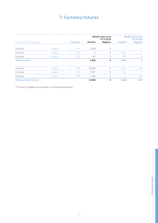### **7. Currency futures**

| Figures in CHF thousand       |               | <b>Currency</b> | <b>Positive</b> | Market value as at<br>31.12.2019<br>Negative | <b>Positive</b> | Market value as at<br>31.12.2018<br><b>Negative</b> |
|-------------------------------|---------------|-----------------|-----------------|----------------------------------------------|-----------------|-----------------------------------------------------|
| Futures                       | <b>Hedges</b> | <b>CHF</b>      | 2,486           | 0                                            |                 | $\Omega$                                            |
| Futures                       | <b>Hedges</b> | <b>USD</b>      | $\Omega$        | 8                                            | 1,601           | $\circ$                                             |
| <b>Futures</b>                | <b>Hedges</b> | <b>EUR</b>      | 140             | $\bigcap$                                    | 980             | $\Omega$                                            |
| Total in bonds <sup>1</sup>   |               |                 | 2,626           | 8                                            | 2,581           | $\Omega$                                            |
| Futures                       | <b>Hedges</b> | <b>USD</b>      | 10,849          | 0                                            | 4,164           | $-109$                                              |
| Futures                       | Hedges        | <b>EUR</b>      | 1,781           | 0                                            | 434             | $\Omega$                                            |
| Futures                       | <b>Hedges</b> | <b>GBP</b>      | 1.339           | $\circ$                                      | $\bigcap$       | $-526$                                              |
| <b>Total currency futures</b> |               |                 | 13,969          | 0                                            | 4,598           | $-635$                                              |

**<sup>1</sup>** The bond hedges are included in the bond asset class.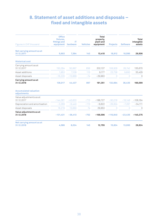### **8. Statement of asset additions and disposals – fixed and intangible assets**

|                                             | <b>Office</b><br>fixtures.<br>fittings and | IT        |                 | <b>Total</b><br>property,<br>plant and |                 |                 | Total<br>intangible |
|---------------------------------------------|--------------------------------------------|-----------|-----------------|----------------------------------------|-----------------|-----------------|---------------------|
| Figures in CHF thousand                     | equipment                                  | hardware  | <b>Vehicles</b> | equipment                              | <b>Projects</b> | <b>Software</b> | assets              |
| Net carrying amount as at<br>31.12.2017     | 5,903                                      | 7,364     | 143             | 13,410                                 | 18,912          | 10,595          | 29,506              |
| <b>Historical cost</b>                      |                                            |           |                 |                                        |                 |                 |                     |
| Carrying amount as at<br>31.12.2017         | 150,284                                    | 50,997    | 856             | 202,137                                | 108,928         | 26,742          | 135,670             |
| Asset additions                             | 1,953                                      | 7,109     | 115             | 9,177                                  | 23,736          | 9,693           | 33,429              |
| Asset disposals                             | $-16,220$                                  | $-13,669$ | $-74$           | $-29,963$                              | $\circ$         | $\Omega$        | 0                   |
| Carrying amount as at<br>31.12.2018         | 136,017                                    | 44,437    | 897             | 181,351                                | 132,664         | 36,435          | 169,099             |
| <b>Accumulated valuation</b><br>adjustments |                                            |           |                 |                                        |                 |                 |                     |
| Value adjustments as at<br>31.12.2017       | $-144,381$                                 | $-43,633$ | $-713$          | $-188,727$                             | $-90.016$       | $-16,148$       | $-106,164$          |
| Depreciation and amortisation               | $-3,269$                                   | $-6.440$  | $-113$          | $-9,822$                               | $-26.824$       | $-7.287$        | $-34,111$           |
| Asset disposals                             | 16,219                                     | 13,660    | 74              | 29,953                                 | $\Omega$        | $\cap$          | $\Omega$            |
| Value adjustments as at<br>31.12.2018       | $-131,431$                                 | $-36,413$ | $-752$          | $-168,596$                             | $-116,840$      | $-23,435$       | $-140,275$          |
| Net carrying amount as at<br>31.12.2018     | 4,586                                      | 8,024     | 145             | 12,755                                 | 15,824          | 13,000          | 28,824              |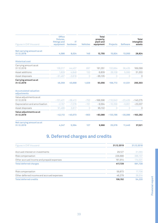| Figures in CHF thousand                     | <b>Office</b><br>fixtures.<br>fittings and<br>equipment | IT<br>hardware | <b>Vehicles</b> | <b>Total</b><br>property,<br>plant and<br>equipment | <b>Projects</b> | <b>Software</b> | <b>Total</b><br>intangible<br>assets |
|---------------------------------------------|---------------------------------------------------------|----------------|-----------------|-----------------------------------------------------|-----------------|-----------------|--------------------------------------|
| Net carrying amount as at<br>31.12.2018     | 4.586                                                   | 8.024          | 145             | 12,755                                              | 15,824          | 13,000          | 28,824                               |
| <b>Historical cost</b>                      |                                                         |                |                 |                                                     |                 |                 |                                      |
| Carrying amount as at<br>31.12.2018         | 136,017                                                 | 44,437         | 897             | 181,351                                             | 132,664         | 36,435          | 169,099                              |
| Asset additions                             | 1.829                                                   | 4.848          | 132             | 6,809                                               | 26,108          | 5,095           | 31,203                               |
| Asset disposals                             | $-91,487$                                               | $-3,618$       | 0               | $-95,105$                                           | $\circ$         | $\Omega$        | 0                                    |
| Carrying amount as at<br>31.12.2019         | 46,359                                                  | 45.668         | 1.029           | 93,056                                              | 158,772         | 41,531          | 200,303                              |
| <b>Accumulated valuation</b><br>adjustments |                                                         |                |                 |                                                     |                 |                 |                                      |
| Value adjustments as at<br>31.12.2018       | $-131,431$                                              | $-36,413$      | $-752$          | $-168.596$                                          | $-116,840$      | $-23,435$       | $-140,275$                           |
| Depreciation and amortisation               | $-2,167$                                                | $-7,276$       | $-151$          | $-9.594$                                            | $-16,356$       | $-6,651$        | $-23,007$                            |
| Asset disposals                             | 91,486                                                  | 3,617          | 0               | 95,102                                              | $\Omega$        | $\Omega$        | 0                                    |
| Value adjustments as at<br>31.12.2019       | $-42.112$                                               | $-40.073$      | $-903$          | $-83,088$                                           | $-133.196$      | $-30.086$       | $-163,282$                           |
| Net carrying amount as at<br>31.12.2019     | 4,247                                                   | 5,594          | 127             | 9,968                                               | 25,576          | 11,445          | 37,021                               |

## **9. Deferred charges and credits**

| Figures in CHF thousand                    | 31.12.2019 | 31.12.2018 |
|--------------------------------------------|------------|------------|
| Accrued interest on investments            | 29.127     | 31,090     |
| Risk compensation                          | 226,688    | 386,107    |
| Other accrued income and prepaid expenses  | 161.914    | 174,531    |
| <b>Total deferred charges</b>              | 417,729    | 591,728    |
| Risk compensation                          | 59.873     | 17,706     |
| Other deferred income and accrued expenses | 46.279     | 36,514     |
| <b>Total deferred credits</b>              | 106.152    | 54.220     |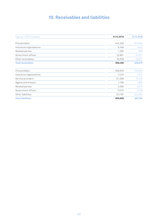### **10. Receivables and liabilities**

| Figures in CHF thousand  | 31.12.2019 | 31.12.2018 |
|--------------------------|------------|------------|
| Policyholders            | 442,309    | 329,694    |
| Insurance organisations  | 6,349      | 4,642      |
| Related parties          | 1,265      | 886        |
| Government offices       | 23,861     | 20,837     |
| Other receivables        | 35,509     | 49,611     |
| <b>Total receivables</b> | 509,295    | 405,670    |
| Policyholders            | 626,978    | 345,505    |
| Insurance organisations  | 2,474      | 2,241      |
| Service providers        | 121,289    | 75,222     |
| Agents and brokers       | 1,796      | 1,665      |
| Related parties          | 3,260      | 2,575      |
| Government offices       | 17,072     | 5,136      |
| Other liabilities        | 127,797    | 224,840    |
| <b>Total liabilities</b> | 900,666    | 657,184    |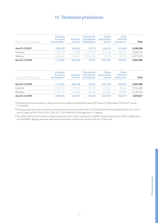### **11. Technical provisions**

| Figures in CHF thousand | <b>Provision</b><br>for claims<br>and benefits <sup>1</sup> | <b>Actuarial</b><br>reserve $2$ | <b>Provision for</b><br>policyholder<br>participation | Claims<br>equalisation<br><b>reserve</b> | <b>Other</b><br>technical<br>provisions <sup>3</sup> | Total        |
|-------------------------|-------------------------------------------------------------|---------------------------------|-------------------------------------------------------|------------------------------------------|------------------------------------------------------|--------------|
| As at 31.12.2017        | 1.555.469                                                   | 418.343                         | 89.774                                                | 964.014                                  | 610,499                                              | 3,638,098    |
| Creation                | 1.405.713                                                   | 15.426                          | 1.217.916                                             | 124.456                                  | 180,507                                              | 2.944.018    |
| Release                 | $-1.219.495$                                                | $-25.281$                       | $-1.220.388$                                          | $-87.176$                                | $-125.190$                                           | $-2.677.530$ |
| As at 31.12.2018        | 1.741.687                                                   | 408,488                         | 87.302                                                | 1.001.294                                | 665,816                                              | 3.904.586    |

| Figures in CHF thousand | <b>Provision</b><br>for claims<br>and benefits <sup>1</sup> | <b>Actuarial</b><br>reserve <sup>2</sup> | <b>Provision for</b><br>policyholder<br>participation | <b>Claims</b><br>equalisation<br>reserve | Other<br>technical<br>provisions <sup>3</sup> | Total        |
|-------------------------|-------------------------------------------------------------|------------------------------------------|-------------------------------------------------------|------------------------------------------|-----------------------------------------------|--------------|
| As at 31.12.2018        | 1,741,687                                                   | 408,488                                  | 87.302                                                | 1.001.294                                | 665,816                                       | 3,904,586    |
| Creation                | 1.749.742                                                   | 95.343                                   | 63.718                                                | 216,304                                  | 39.343                                        | 2.164.450    |
| Release                 | $-1.830.775$                                                | $-40.004$                                | $-62.652$                                             | $-179.704$                               | $-76.880$                                     | $-2.190.015$ |
| As at 31.12.2019        | 1.660.654                                                   | 463,827                                  | 88,368                                                | 1.037.894                                | 628,279                                       | 3,879,021    |

**<sup>1</sup>** The amount of reinsurance in the provisions for claims and benefits was CHF 0 as at 31 December 2019 (CHF 0 as at 31.12.2018).

**<sup>2</sup>** The actuarial reserves were discounted with a technical interest rate of 2.75 per cent for the accident years up to 2013 and 2.0 per cent for 2014, 2015, 2016, 2017, 2018 and 2019 (average term: 15 years).

**<sup>3</sup>** The other technical provisions comprise provisions for other compulsory health insurance products (OKP; models such as HAV/HMO). Ageing reserves were discounted with a technical interest rate of 1.0 per cent.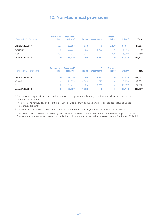### **12. Non-technical provisions**

| Figures in CHF thousand | Restructur-<br>ine <sup>1</sup> | Personnel/<br>$b$ rokers <sup>2</sup> | Taxes  | IT<br>investments | <b>Process</b><br>ri <sub>s</sub> | Other <sup>4</sup> | Total     |
|-------------------------|---------------------------------|---------------------------------------|--------|-------------------|-----------------------------------|--------------------|-----------|
| As at 31.12.2017        | 403                             | 39,383                                | 979    | υ                 | 2.190                             | 81.911             | 124.867   |
| Creation                |                                 | 40.904                                | 25     | 1.037             |                                   | 5.144              | 47.110    |
| Use                     | $-403$                          | $-40.817$                             | $-900$ |                   | $-2.190$                          | $-5.040$           | $-49.350$ |
| As at 31.12.2018        |                                 | 39,470                                | 104    | 1.037             | 0                                 | 82,015             | 122.627   |

| Figures in CHF thousand | Restructur-<br>ing <sup>1</sup> | Personnel/<br>$b$ rokers <sup>2</sup> | <b>Taxes</b> | IT<br>investments | <b>Process</b><br>ri <sub>s</sub> | Other <sup>4</sup> | Total     |
|-------------------------|---------------------------------|---------------------------------------|--------------|-------------------|-----------------------------------|--------------------|-----------|
| As at 31.12.2018        | 0                               | 39,470                                | 104          | 1.037             | 0                                 | 82,015             | 122,627   |
| Creation                |                                 | 71.539                                | 4.503        | - 773             | $\left( \right)$                  | 5.468              | 82.283    |
| Use                     |                                 | -71.412                               | $-54$        | $-1.810$          | $\left( \right)$                  | $-19.037$          | $-92.313$ |
| As at 31.12.2019        | 0                               | 39.597                                | 4.553        |                   | 0                                 | 68.446             | 112.597   |

**<sup>1</sup>** The restructuring provisions include the costs of the organisational changes that were made as part of the cost reduction programme.

**<sup>2</sup>** The provisions for holiday and overtime claims as well as staff bonuses and broker fees are included under "Personnel/brokers".

**<sup>3</sup>** The process risks include subsequent licensing requirements. Any payments were deferred accordingly.

**<sup>4</sup>** The Swiss Financial Market Supervisory Authority (FINMA) has ordered a restriction for the awarding of discounts. The potential compensation payment to individual policyholders was set aside conservatively in 2017 at CHF 65 million.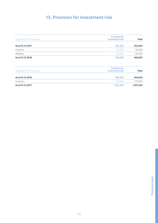### **13. Provision for investment risk**

| Figures in CHF thousand | <b>Provision for</b><br>investment risk | Total     |  |
|-------------------------|-----------------------------------------|-----------|--|
| As at 31.12.2017        | 842.632                                 | 842.632   |  |
| Creation                | 30,000                                  | 30,000    |  |
| Release                 | $-26,000$                               | $-26.000$ |  |
| As at 31.12.2018        | 846.632                                 | 846.632   |  |

| Figures in CHF thousand | <b>Provision for</b><br>investment risk | Total<br>846,632 |  |
|-------------------------|-----------------------------------------|------------------|--|
| As at 31.12.2016        | 846.632                                 |                  |  |
| Creation                | 175,000                                 | 175,000          |  |
| As at 31.12.2017        | 1,021,632                               | 1,021,632        |  |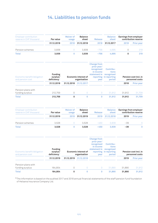### **14. Liabilities to pension funds**

| Employer contribution<br>reserve in CHF thousand | Par value  | <b>Waiver of</b><br>usage | <b>Balance</b><br>sheet | Release | <b>Balance</b><br>sheet | <b>Earnings from employer</b> | contribution reserve |
|--------------------------------------------------|------------|---------------------------|-------------------------|---------|-------------------------|-------------------------------|----------------------|
|                                                  | 31.12.2018 | 2018                      | 31.12.2018              | 2018    | 31.12.2017              | 2018                          | <b>Prior year</b>    |
| Pension schemes                                  | 3.939      |                           | 3.939                   | $-756$  | 4.695                   |                               | 219                  |
| Total                                            | 3.939      |                           | 3.939                   | $-756$  | 4.695                   |                               | 219                  |

| Economic benefit/obligation<br>and pension cost | <b>Funding</b><br>surplus/<br>deficiency <sup>1</sup> | Economic interest of<br>organisation |            | <b>Change from</b><br>prior year/<br>recognised<br>in income<br>statement in recognised<br>year | Contribu-<br>tions<br>reporting in reporting<br>period | Pension cost incl. in<br>personnel costs |                   |
|-------------------------------------------------|-------------------------------------------------------|--------------------------------------|------------|-------------------------------------------------------------------------------------------------|--------------------------------------------------------|------------------------------------------|-------------------|
|                                                 | 31.12.2018                                            | 31.12.2018                           | 31.12.2017 |                                                                                                 |                                                        | 2018                                     | <b>Prior year</b> |
| Pension plans with<br>funding surplus           | 212.759                                               | 0                                    | 0          | 0                                                                                               | 31,912                                                 | 31.912                                   | 31,709            |
| <b>Total</b>                                    | 212,759                                               | 0                                    | 0          | 0                                                                                               | 31.912                                                 | 31,912                                   | 31,709            |

| Employer contribution<br>reserve in CHF thousand | Par value  | <b>Waiver of</b><br>usage | <b>Balance</b><br>sheet | <b>Release</b> | <b>Balance</b><br>sheet | Earnings from employer | contribution reserve |
|--------------------------------------------------|------------|---------------------------|-------------------------|----------------|-------------------------|------------------------|----------------------|
|                                                  | 31.12.2019 | 2019                      | 31.12.2019              |                | 2019 31.12.2018         | 2019                   | <b>Prior year</b>    |
| Pension schemes                                  | 3.528      |                           | 3.528                   | $-450$         | 3.939                   | $-39$                  |                      |
| Total                                            | 3.528      |                           | 3.528                   | $-450$         | 3.939                   | $-39$                  | 0                    |

| Economic benefit/obligation<br>and pension cost | <b>Funding</b><br>surplus/<br>deficiency <sup>1</sup> | <b>Economic interest of</b><br>organisation |            | <b>Change from</b><br>prior year/<br>recognised<br>in income<br>statement in<br>year | Contribu-<br>tions<br>recognised<br>reporting in reporting<br>period | Pension cost incl. in<br>personnel costs |                   |
|-------------------------------------------------|-------------------------------------------------------|---------------------------------------------|------------|--------------------------------------------------------------------------------------|----------------------------------------------------------------------|------------------------------------------|-------------------|
|                                                 | 31.12.2019                                            | 31.12.2019                                  | 31.12.2018 |                                                                                      |                                                                      | 2019                                     | <b>Prior year</b> |
| Pension plans with<br>funding surplus           | 164.804                                               | 0                                           | 0          | 0                                                                                    | 31,890                                                               | 31,890                                   | 31,912            |
| <b>Total</b>                                    | 164,804                                               | 0                                           | 0          | 0                                                                                    | 31,890                                                               | 31,890                                   | 31,912            |

**<sup>1</sup>** The information is based on the audited 2017 and 2018 annual financial statements of the staff pension fund foundation of Helsana Insurance Company Ltd.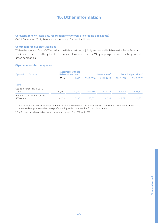### **15. Other information**

#### **Collateral for own liabilities, reservation of ownership (excluding tied assets)**

On 31 December 2019, there was no collateral for own liabilities.

#### **Contingent receivables/liabilities**

Within the scope of Group VAT taxation, the Helsana Group is jointly and severally liable to the Swiss Federal Tax Administration. Stiftung Fondation Sana is also included in the VAT group together with the fully consolidated companies.

#### **Significant related companies**

| Figures in CHF thousand                     | <b>Transactions with the</b><br>Helsana Group (net) <sup>1</sup> |        | Investments <sup>2</sup> |            | Technical provisions <sup>2</sup> |            |
|---------------------------------------------|------------------------------------------------------------------|--------|--------------------------|------------|-----------------------------------|------------|
|                                             | 2019                                                             | 2018   | 31.12.2018               | 31.12.2017 | 31.12.2018                        | 31.12.2017 |
| <b>Name</b>                                 |                                                                  |        |                          |            |                                   |            |
| Solida Insurance Ltd, 8048<br>Zurich        | 10.243                                                           | 10.110 | 647.485                  | 621.418    | 564.174                           | 553.872    |
| Helsana Legal Protection Ltd,<br>5000 Aarau | 18.123                                                           | 17,360 | 53.671                   | 49.039     | 43.592                            | 41,373     |

**<sup>1</sup>** The transactions with associated companies include the sum of the statements of these companies, which include the transferred net premiums less any profit sharing and compensation for administration.

**<sup>2</sup>** The figures have been taken from the annual reports for 2018 and 2017.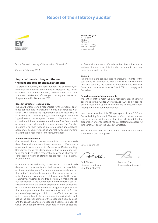### **Report of the statutory auditor**



**Ernst&Young Ltd** Maagplatz 1

P.O. Box CH-8010 Zurich Phone +41 58 286 31 11 Fax +41 58 286 30 04 www.ey.com/ch

To the General Meeting of Helsana Ltd, Dübendorf

Zurich, 4 February 2020

#### **Report of the statutory auditor on the consolidated financial statements**

As statutory auditor, we have audited the accompanying consolidated financial statements of Helsana Ltd, which comprise the income statement, balance sheet, cash flow statement, statement of changes in equity and notes, for the year ended 31 December 2019.

#### **Board of Directors' responsibility**

The Board of Directors is responsible for the preparation of these consolidated financial statements in accordance with Swiss GAAP FER and the requirements of Swiss law. This responsibility includes designing, implementing and maintaining an internal control system relevant to the preparation of consolidated financial statements that are free from material misstatement, whether due to fraud or error. The Board of Directors is further responsible for selecting and applying appropriate accounting policies and making accounting estimates that are reasonable in the circumstances.

#### **Auditor's responsibility**

Our responsibility is to express an opinion on these consolidated financial statements based on our audit. We conducted our audit in accordance with Swiss law and Swiss Auditing Standards. Those standards require that we plan and perform the audit to obtain reasonable assurance whether the consolidated financial statements are free from material misstatement.

An audit involves performing procedures to obtain audit evidence about the amounts and disclosures in the consolidated financial statements. The procedures selected depend on the auditor's judgment, including the assessment of the risks of material misstatement of the consolidated financial statements, whether due to fraud or error. In making those risk assessments, the auditor considers the internal control system relevant to the entity's preparation of the consolidated financial statements in order to design audit procedures that are appropriate in the circumstances, but not for the purpose of expressing an opinion on the effectiveness of the entity's internal control system. An audit also includes evaluating the appropriateness of the accounting policies used and the reasonableness of accounting estimates made, as well as evaluating the overall presentation of the consolidated financial statements. We believe that the audit evidence we have obtained is sufficient and appropriate to provide a basis for our audit opinion.

#### **Opinion**

In our opinion, the consolidated financial statements for the year ended 31 December 2019 give a true and fair view of the financial position, the results of operations and the cash flows in accordance with Swiss GAAP FER and comply with Swiss law.

#### **Report on other legal requirements**

We confirm that we meet the legal requirements on licensing according to the Auditor Oversight Act (AOA) and independence (article 728 CO) and that there are no circumstances incompatible with our independence.

In accordance with article 728a paragraph 1 item 3 CO and Swiss Auditing Standard 890, we confirm that an internal control system exists, which has been designed for the preparation of consolidated financial statements according to the instructions of the Board of Directors.

We recommend that the consolidated financial statements submitted to you be approved.

Ernst & Young Ltd

.<br>eehl

Rolf Bächler Monika Löber Licensed audit expert Licensed audit expert (Auditor in charge)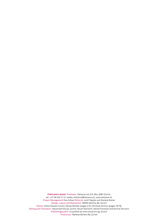**Publication details** Publisher Helsana Ltd, P.O. Box, 8081 Zurich, tel. +41 58 340 12 12, media.relations@helsana.ch, www.helsana.ch Project Management Can Arikan Editorial Jordi Tejedor and Daniela Diener Design, Layout and Realisation MADE Identity AG, Zurich Photos Kilian Kessler (cover), Daniel Winkler (pages 2/3), Christian Schnur (pages 18/19) Editing and Translation Apostroph Group, Zurich, Stuart Garforth, Daniel Forestier and Annina Tervoort Publishingsystem ns.publish by mms solutions ag, Zurich Production NeidhartSchön AG, Zurich